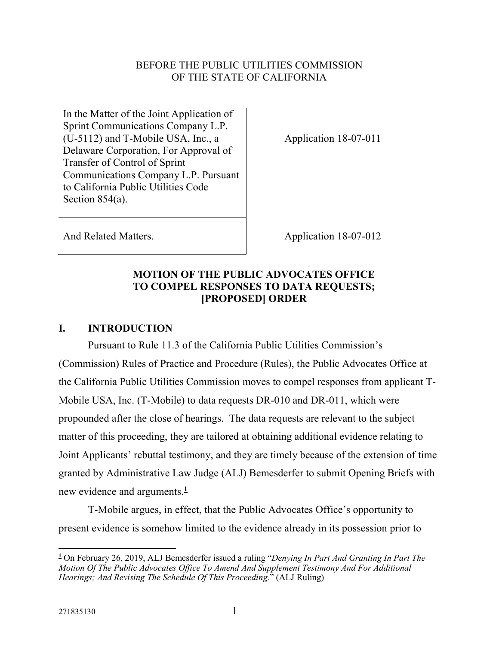### BEFORE THE PUBLIC UTILITIES COMMISSION OF THE STATE OF CALIFORNIA

In the Matter of the Joint Application of Sprint Communications Company L.P. (U-5112) and T-Mobile USA, Inc., a Delaware Corporation, For Approval of Transfer of Control of Sprint Communications Company L.P. Pursuant to California Public Utilities Code Section 854(a).

Application 18-07-011

And Related Matters. Application 18-07-012

# **MOTION OF THE PUBLIC ADVOCATES OFFICE TO COMPEL RESPONSES TO DATA REQUESTS; [PROPOSED] ORDER**

## **I. INTRODUCTION**

Pursuant to Rule 11.3 of the California Public Utilities Commission's (Commission) Rules of Practice and Procedure (Rules), the Public Advocates Office at the California Public Utilities Commission moves to compel responses from applicant T-Mobile USA, Inc. (T-Mobile) to data requests DR-010 and DR-011, which were propounded after the close of hearings. The data requests are relevant to the subject matter of this proceeding, they are tailored at obtaining additional evidence relating to Joint Applicants' rebuttal testimony, and they are timely because of the extension of time granted by Administrative Law Judge (ALJ) Bemesderfer to submit Opening Briefs with new evidence and arguments.**<sup>1</sup>**

T-Mobile argues, in effect, that the Public Advocates Office's opportunity to present evidence is somehow limited to the evidence already in its possession prior to

**<sup>1</sup>** On February 26, 2019, ALJ Bemesderfer issued a ruling "*Denying In Part And Granting In Part The Motion Of The Public Advocates Office To Amend And Supplement Testimony And For Additional Hearings; And Revising The Schedule Of This Proceeding.*" (ALJ Ruling)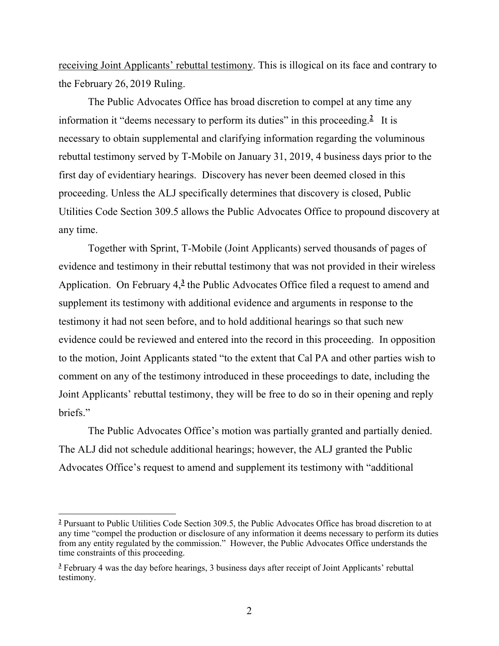receiving Joint Applicants' rebuttal testimony. This is illogical on its face and contrary to the February 26, 2019 Ruling.

The Public Advocates Office has broad discretion to compel at any time any information it "deems necessary to perform its duties" in this proceeding.<sup>2</sup> It is necessary to obtain supplemental and clarifying information regarding the voluminous rebuttal testimony served by T-Mobile on January 31, 2019, 4 business days prior to the first day of evidentiary hearings. Discovery has never been deemed closed in this proceeding. Unless the ALJ specifically determines that discovery is closed, Public Utilities Code Section 309.5 allows the Public Advocates Office to propound discovery at any time.

Together with Sprint, T-Mobile (Joint Applicants) served thousands of pages of evidence and testimony in their rebuttal testimony that was not provided in their wireless Application. On February 4,<sup>3</sup> the Public Advocates Office filed a request to amend and supplement its testimony with additional evidence and arguments in response to the testimony it had not seen before, and to hold additional hearings so that such new evidence could be reviewed and entered into the record in this proceeding. In opposition to the motion, Joint Applicants stated "to the extent that Cal PA and other parties wish to comment on any of the testimony introduced in these proceedings to date, including the Joint Applicants' rebuttal testimony, they will be free to do so in their opening and reply briefs."

The Public Advocates Office's motion was partially granted and partially denied. The ALJ did not schedule additional hearings; however, the ALJ granted the Public Advocates Office's request to amend and supplement its testimony with "additional

 $\overline{a}$ 

<sup>&</sup>lt;sup>2</sup> Pursuant to Public Utilities Code Section 309.5, the Public Advocates Office has broad discretion to at any time "compel the production or disclosure of any information it deems necessary to perform its duties from any entity regulated by the commission." However, the Public Advocates Office understands the time constraints of this proceeding.

<sup>&</sup>lt;sup>3</sup> February 4 was the day before hearings, 3 business days after receipt of Joint Applicants' rebuttal testimony.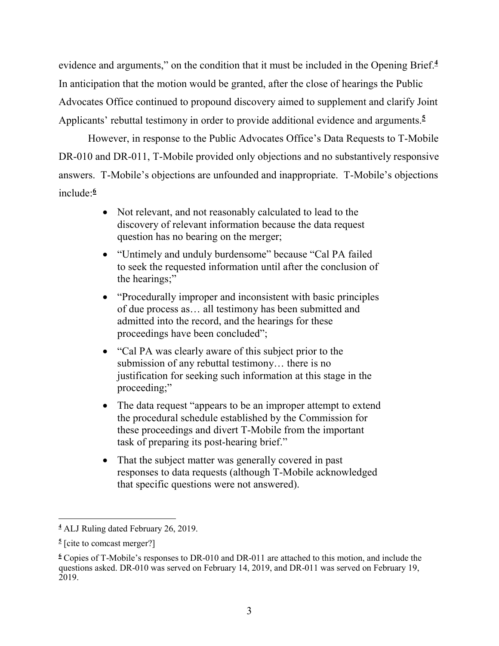evidence and arguments," on the condition that it must be included in the Opening Brief.**<sup>4</sup>** In anticipation that the motion would be granted, after the close of hearings the Public Advocates Office continued to propound discovery aimed to supplement and clarify Joint Applicants' rebuttal testimony in order to provide additional evidence and arguments.**<sup>5</sup>**

However, in response to the Public Advocates Office's Data Requests to T-Mobile DR-010 and DR-011, T-Mobile provided only objections and no substantively responsive answers. T-Mobile's objections are unfounded and inappropriate. T-Mobile's objections include:**<sup>6</sup>**

- Not relevant, and not reasonably calculated to lead to the discovery of relevant information because the data request question has no bearing on the merger;
- "Untimely and unduly burdensome" because "Cal PA failed to seek the requested information until after the conclusion of the hearings;"
- "Procedurally improper and inconsistent with basic principles of due process as… all testimony has been submitted and admitted into the record, and the hearings for these proceedings have been concluded";
- "Cal PA was clearly aware of this subject prior to the submission of any rebuttal testimony… there is no justification for seeking such information at this stage in the proceeding;"
- The data request "appears to be an improper attempt to extend the procedural schedule established by the Commission for these proceedings and divert T-Mobile from the important task of preparing its post-hearing brief."
- That the subject matter was generally covered in past responses to data requests (although T-Mobile acknowledged that specific questions were not answered).

<sup>-</sup>**4** ALJ Ruling dated February 26, 2019.

<sup>&</sup>lt;sup>5</sup> [cite to comcast merger?]

**<sup>6</sup>** Copies of T-Mobile's responses to DR-010 and DR-011 are attached to this motion, and include the questions asked. DR-010 was served on February 14, 2019, and DR-011 was served on February 19, 2019.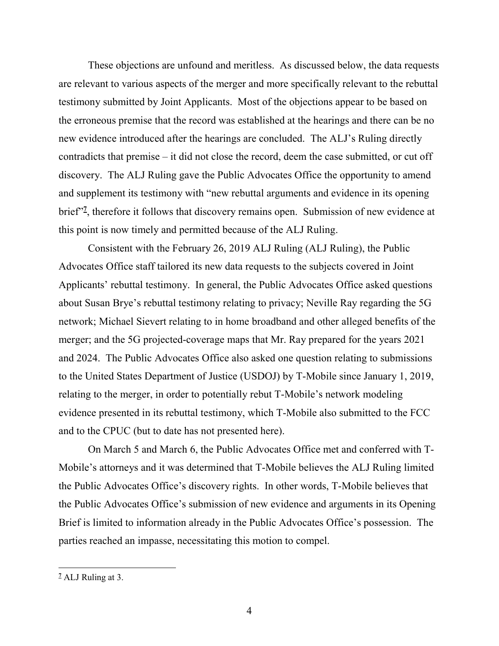These objections are unfound and meritless. As discussed below, the data requests are relevant to various aspects of the merger and more specifically relevant to the rebuttal testimony submitted by Joint Applicants. Most of the objections appear to be based on the erroneous premise that the record was established at the hearings and there can be no new evidence introduced after the hearings are concluded. The ALJ's Ruling directly contradicts that premise – it did not close the record, deem the case submitted, or cut off discovery. The ALJ Ruling gave the Public Advocates Office the opportunity to amend and supplement its testimony with "new rebuttal arguments and evidence in its opening brief"**<sup>7</sup>** , therefore it follows that discovery remains open. Submission of new evidence at this point is now timely and permitted because of the ALJ Ruling.

Consistent with the February 26, 2019 ALJ Ruling (ALJ Ruling), the Public Advocates Office staff tailored its new data requests to the subjects covered in Joint Applicants' rebuttal testimony. In general, the Public Advocates Office asked questions about Susan Brye's rebuttal testimony relating to privacy; Neville Ray regarding the 5G network; Michael Sievert relating to in home broadband and other alleged benefits of the merger; and the 5G projected-coverage maps that Mr. Ray prepared for the years 2021 and 2024. The Public Advocates Office also asked one question relating to submissions to the United States Department of Justice (USDOJ) by T-Mobile since January 1, 2019, relating to the merger, in order to potentially rebut T-Mobile's network modeling evidence presented in its rebuttal testimony, which T-Mobile also submitted to the FCC and to the CPUC (but to date has not presented here).

On March 5 and March 6, the Public Advocates Office met and conferred with T-Mobile's attorneys and it was determined that T-Mobile believes the ALJ Ruling limited the Public Advocates Office's discovery rights. In other words, T-Mobile believes that the Public Advocates Office's submission of new evidence and arguments in its Opening Brief is limited to information already in the Public Advocates Office's possession. The parties reached an impasse, necessitating this motion to compel.

 $\overline{a}$ 

**<sup>7</sup>** ALJ Ruling at 3.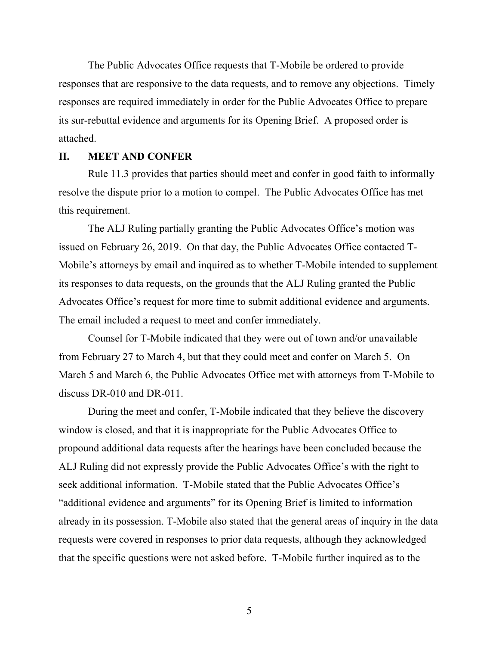The Public Advocates Office requests that T-Mobile be ordered to provide responses that are responsive to the data requests, and to remove any objections. Timely responses are required immediately in order for the Public Advocates Office to prepare its sur-rebuttal evidence and arguments for its Opening Brief. A proposed order is attached.

#### **II. MEET AND CONFER**

Rule 11.3 provides that parties should meet and confer in good faith to informally resolve the dispute prior to a motion to compel. The Public Advocates Office has met this requirement.

The ALJ Ruling partially granting the Public Advocates Office's motion was issued on February 26, 2019. On that day, the Public Advocates Office contacted T-Mobile's attorneys by email and inquired as to whether T-Mobile intended to supplement its responses to data requests, on the grounds that the ALJ Ruling granted the Public Advocates Office's request for more time to submit additional evidence and arguments. The email included a request to meet and confer immediately.

Counsel for T-Mobile indicated that they were out of town and/or unavailable from February 27 to March 4, but that they could meet and confer on March 5. On March 5 and March 6, the Public Advocates Office met with attorneys from T-Mobile to discuss DR-010 and DR-011.

During the meet and confer, T-Mobile indicated that they believe the discovery window is closed, and that it is inappropriate for the Public Advocates Office to propound additional data requests after the hearings have been concluded because the ALJ Ruling did not expressly provide the Public Advocates Office's with the right to seek additional information. T-Mobile stated that the Public Advocates Office's "additional evidence and arguments" for its Opening Brief is limited to information already in its possession. T-Mobile also stated that the general areas of inquiry in the data requests were covered in responses to prior data requests, although they acknowledged that the specific questions were not asked before. T-Mobile further inquired as to the

5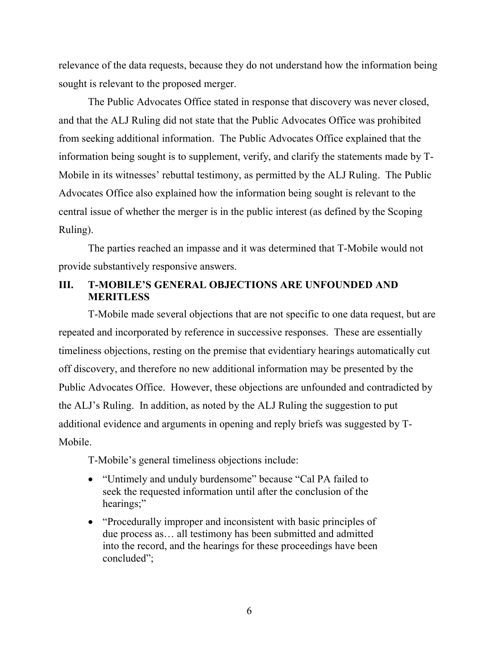relevance of the data requests, because they do not understand how the information being sought is relevant to the proposed merger.

The Public Advocates Office stated in response that discovery was never closed, and that the ALJ Ruling did not state that the Public Advocates Office was prohibited from seeking additional information. The Public Advocates Office explained that the information being sought is to supplement, verify, and clarify the statements made by T-Mobile in its witnesses' rebuttal testimony, as permitted by the ALJ Ruling. The Public Advocates Office also explained how the information being sought is relevant to the central issue of whether the merger is in the public interest (as defined by the Scoping Ruling).

The parties reached an impasse and it was determined that T-Mobile would not provide substantively responsive answers.

## **III. T-MOBILE'S GENERAL OBJECTIONS ARE UNFOUNDED AND MERITLESS**

T-Mobile made several objections that are not specific to one data request, but are repeated and incorporated by reference in successive responses. These are essentially timeliness objections, resting on the premise that evidentiary hearings automatically cut off discovery, and therefore no new additional information may be presented by the Public Advocates Office. However, these objections are unfounded and contradicted by the ALJ's Ruling. In addition, as noted by the ALJ Ruling the suggestion to put additional evidence and arguments in opening and reply briefs was suggested by T-Mobile.

T-Mobile's general timeliness objections include:

- "Untimely and unduly burdensome" because "Cal PA failed to seek the requested information until after the conclusion of the hearings;"
- "Procedurally improper and inconsistent with basic principles of due process as… all testimony has been submitted and admitted into the record, and the hearings for these proceedings have been concluded";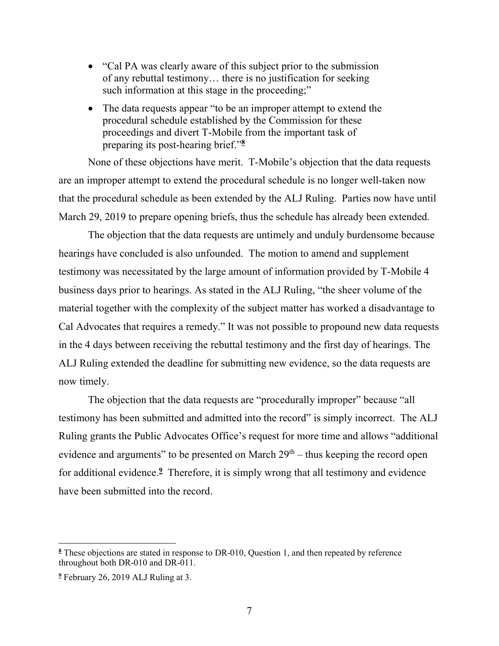- "Cal PA was clearly aware of this subject prior to the submission of any rebuttal testimony… there is no justification for seeking such information at this stage in the proceeding;"
- The data requests appear "to be an improper attempt to extend the procedural schedule established by the Commission for these proceedings and divert T-Mobile from the important task of preparing its post-hearing brief."**<sup>8</sup>**

None of these objections have merit. T-Mobile's objection that the data requests are an improper attempt to extend the procedural schedule is no longer well-taken now that the procedural schedule as been extended by the ALJ Ruling. Parties now have until March 29, 2019 to prepare opening briefs, thus the schedule has already been extended.

The objection that the data requests are untimely and unduly burdensome because hearings have concluded is also unfounded. The motion to amend and supplement testimony was necessitated by the large amount of information provided by T-Mobile 4 business days prior to hearings. As stated in the ALJ Ruling, "the sheer volume of the material together with the complexity of the subject matter has worked a disadvantage to Cal Advocates that requires a remedy." It was not possible to propound new data requests in the 4 days between receiving the rebuttal testimony and the first day of hearings. The ALJ Ruling extended the deadline for submitting new evidence, so the data requests are now timely.

The objection that the data requests are "procedurally improper" because "all testimony has been submitted and admitted into the record" is simply incorrect. The ALJ Ruling grants the Public Advocates Office's request for more time and allows "additional evidence and arguments" to be presented on March  $29<sup>th</sup>$  – thus keeping the record open for additional evidence.**<sup>9</sup>** Therefore, it is simply wrong that all testimony and evidence have been submitted into the record.

<sup>&</sup>lt;sup>8</sup> These objections are stated in response to DR-010, Question 1, and then repeated by reference throughout both DR-010 and DR-011.

**<sup>9</sup>** February 26, 2019 ALJ Ruling at 3.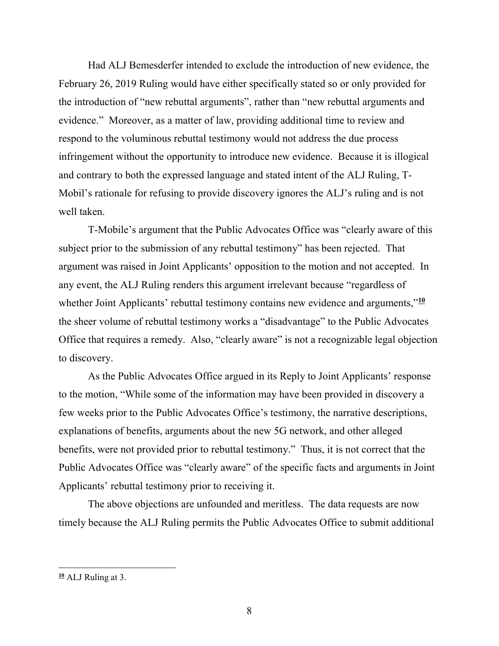Had ALJ Bemesderfer intended to exclude the introduction of new evidence, the February 26, 2019 Ruling would have either specifically stated so or only provided for the introduction of "new rebuttal arguments", rather than "new rebuttal arguments and evidence." Moreover, as a matter of law, providing additional time to review and respond to the voluminous rebuttal testimony would not address the due process infringement without the opportunity to introduce new evidence. Because it is illogical and contrary to both the expressed language and stated intent of the ALJ Ruling, T-Mobil's rationale for refusing to provide discovery ignores the ALJ's ruling and is not well taken.

T-Mobile's argument that the Public Advocates Office was "clearly aware of this subject prior to the submission of any rebuttal testimony" has been rejected. That argument was raised in Joint Applicants' opposition to the motion and not accepted. In any event, the ALJ Ruling renders this argument irrelevant because "regardless of whether Joint Applicants' rebuttal testimony contains new evidence and arguments,"<sup>10</sup> the sheer volume of rebuttal testimony works a "disadvantage" to the Public Advocates Office that requires a remedy. Also, "clearly aware" is not a recognizable legal objection to discovery.

As the Public Advocates Office argued in its Reply to Joint Applicants' response to the motion, "While some of the information may have been provided in discovery a few weeks prior to the Public Advocates Office's testimony, the narrative descriptions, explanations of benefits, arguments about the new 5G network, and other alleged benefits, were not provided prior to rebuttal testimony." Thus, it is not correct that the Public Advocates Office was "clearly aware" of the specific facts and arguments in Joint Applicants' rebuttal testimony prior to receiving it.

The above objections are unfounded and meritless. The data requests are now timely because the ALJ Ruling permits the Public Advocates Office to submit additional

 $\overline{a}$ 

**<sup>10</sup>** ALJ Ruling at 3.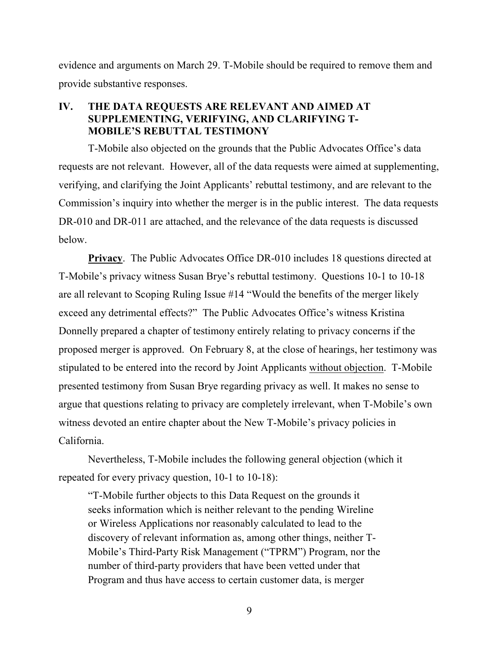evidence and arguments on March 29. T-Mobile should be required to remove them and provide substantive responses.

### **IV. THE DATA REQUESTS ARE RELEVANT AND AIMED AT SUPPLEMENTING, VERIFYING, AND CLARIFYING T-MOBILE'S REBUTTAL TESTIMONY**

T-Mobile also objected on the grounds that the Public Advocates Office's data requests are not relevant. However, all of the data requests were aimed at supplementing, verifying, and clarifying the Joint Applicants' rebuttal testimony, and are relevant to the Commission's inquiry into whether the merger is in the public interest. The data requests DR-010 and DR-011 are attached, and the relevance of the data requests is discussed below.

**Privacy**. The Public Advocates Office DR-010 includes 18 questions directed at T-Mobile's privacy witness Susan Brye's rebuttal testimony. Questions 10-1 to 10-18 are all relevant to Scoping Ruling Issue #14 "Would the benefits of the merger likely exceed any detrimental effects?" The Public Advocates Office's witness Kristina Donnelly prepared a chapter of testimony entirely relating to privacy concerns if the proposed merger is approved. On February 8, at the close of hearings, her testimony was stipulated to be entered into the record by Joint Applicants without objection. T-Mobile presented testimony from Susan Brye regarding privacy as well. It makes no sense to argue that questions relating to privacy are completely irrelevant, when T-Mobile's own witness devoted an entire chapter about the New T-Mobile's privacy policies in California.

Nevertheless, T-Mobile includes the following general objection (which it repeated for every privacy question, 10-1 to 10-18):

"T-Mobile further objects to this Data Request on the grounds it seeks information which is neither relevant to the pending Wireline or Wireless Applications nor reasonably calculated to lead to the discovery of relevant information as, among other things, neither T-Mobile's Third-Party Risk Management ("TPRM") Program, nor the number of third-party providers that have been vetted under that Program and thus have access to certain customer data, is merger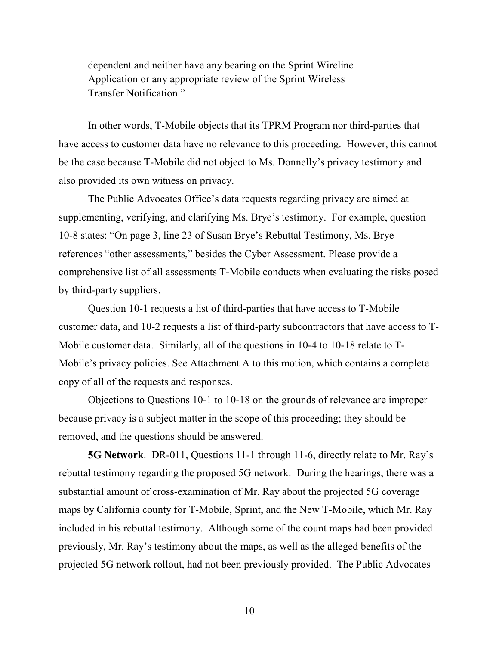dependent and neither have any bearing on the Sprint Wireline Application or any appropriate review of the Sprint Wireless Transfer Notification."

In other words, T-Mobile objects that its TPRM Program nor third-parties that have access to customer data have no relevance to this proceeding. However, this cannot be the case because T-Mobile did not object to Ms. Donnelly's privacy testimony and also provided its own witness on privacy.

The Public Advocates Office's data requests regarding privacy are aimed at supplementing, verifying, and clarifying Ms. Brye's testimony. For example, question 10-8 states: "On page 3, line 23 of Susan Brye's Rebuttal Testimony, Ms. Brye references "other assessments," besides the Cyber Assessment. Please provide a comprehensive list of all assessments T-Mobile conducts when evaluating the risks posed by third-party suppliers.

Question 10-1 requests a list of third-parties that have access to T-Mobile customer data, and 10-2 requests a list of third-party subcontractors that have access to T-Mobile customer data. Similarly, all of the questions in 10-4 to 10-18 relate to T-Mobile's privacy policies. See Attachment A to this motion, which contains a complete copy of all of the requests and responses.

Objections to Questions 10-1 to 10-18 on the grounds of relevance are improper because privacy is a subject matter in the scope of this proceeding; they should be removed, and the questions should be answered.

**5G Network**. DR-011, Questions 11-1 through 11-6, directly relate to Mr. Ray's rebuttal testimony regarding the proposed 5G network. During the hearings, there was a substantial amount of cross-examination of Mr. Ray about the projected 5G coverage maps by California county for T-Mobile, Sprint, and the New T-Mobile, which Mr. Ray included in his rebuttal testimony. Although some of the count maps had been provided previously, Mr. Ray's testimony about the maps, as well as the alleged benefits of the projected 5G network rollout, had not been previously provided. The Public Advocates

10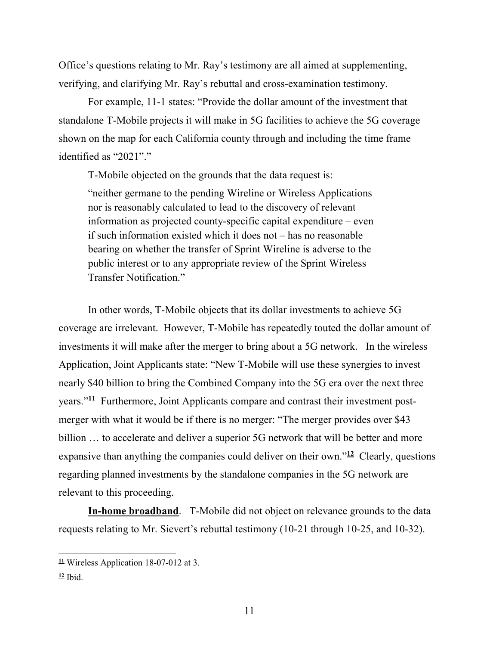Office's questions relating to Mr. Ray's testimony are all aimed at supplementing, verifying, and clarifying Mr. Ray's rebuttal and cross-examination testimony.

For example, 11-1 states: "Provide the dollar amount of the investment that standalone T-Mobile projects it will make in 5G facilities to achieve the 5G coverage shown on the map for each California county through and including the time frame identified as "2021"."

T-Mobile objected on the grounds that the data request is: "neither germane to the pending Wireline or Wireless Applications nor is reasonably calculated to lead to the discovery of relevant information as projected county-specific capital expenditure – even if such information existed which it does not – has no reasonable bearing on whether the transfer of Sprint Wireline is adverse to the public interest or to any appropriate review of the Sprint Wireless Transfer Notification."

In other words, T-Mobile objects that its dollar investments to achieve 5G coverage are irrelevant. However, T-Mobile has repeatedly touted the dollar amount of investments it will make after the merger to bring about a 5G network. In the wireless Application, Joint Applicants state: "New T-Mobile will use these synergies to invest nearly \$40 billion to bring the Combined Company into the 5G era over the next three years."**11** Furthermore, Joint Applicants compare and contrast their investment postmerger with what it would be if there is no merger: "The merger provides over \$43 billion ... to accelerate and deliver a superior 5G network that will be better and more expansive than anything the companies could deliver on their own."**<sup>12</sup>** Clearly, questions regarding planned investments by the standalone companies in the 5G network are relevant to this proceeding.

**In-home broadband**. T-Mobile did not object on relevance grounds to the data requests relating to Mr. Sievert's rebuttal testimony (10-21 through 10-25, and 10-32).

**<sup>11</sup>** Wireless Application 18-07-012 at 3.

**<sup>12</sup>** Ibid.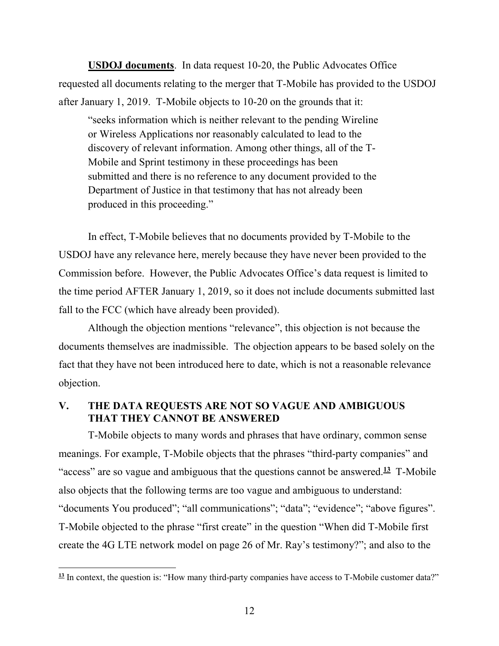**USDOJ documents**. In data request 10-20, the Public Advocates Office requested all documents relating to the merger that T-Mobile has provided to the USDOJ after January 1, 2019. T-Mobile objects to 10-20 on the grounds that it:

"seeks information which is neither relevant to the pending Wireline or Wireless Applications nor reasonably calculated to lead to the discovery of relevant information. Among other things, all of the T-Mobile and Sprint testimony in these proceedings has been submitted and there is no reference to any document provided to the Department of Justice in that testimony that has not already been produced in this proceeding."

In effect, T-Mobile believes that no documents provided by T-Mobile to the USDOJ have any relevance here, merely because they have never been provided to the Commission before. However, the Public Advocates Office's data request is limited to the time period AFTER January 1, 2019, so it does not include documents submitted last fall to the FCC (which have already been provided).

Although the objection mentions "relevance", this objection is not because the documents themselves are inadmissible. The objection appears to be based solely on the fact that they have not been introduced here to date, which is not a reasonable relevance objection.

#### **V. THE DATA REQUESTS ARE NOT SO VAGUE AND AMBIGUOUS THAT THEY CANNOT BE ANSWERED**

T-Mobile objects to many words and phrases that have ordinary, common sense meanings. For example, T-Mobile objects that the phrases "third-party companies" and "access" are so vague and ambiguous that the questions cannot be answered.**<sup>13</sup>** T-Mobile also objects that the following terms are too vague and ambiguous to understand: "documents You produced"; "all communications"; "data"; "evidence"; "above figures". T-Mobile objected to the phrase "first create" in the question "When did T-Mobile first create the 4G LTE network model on page 26 of Mr. Ray's testimony?"; and also to the

<sup>&</sup>lt;sup>13</sup> In context, the question is: "How many third-party companies have access to T-Mobile customer data?"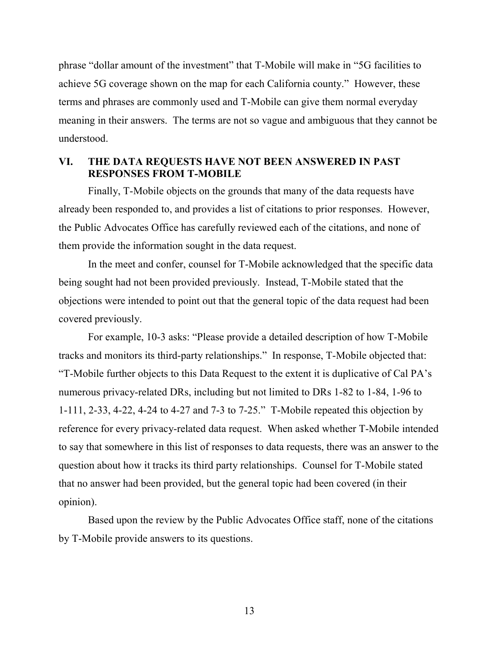phrase "dollar amount of the investment" that T-Mobile will make in "5G facilities to achieve 5G coverage shown on the map for each California county." However, these terms and phrases are commonly used and T-Mobile can give them normal everyday meaning in their answers. The terms are not so vague and ambiguous that they cannot be understood.

## **VI. THE DATA REQUESTS HAVE NOT BEEN ANSWERED IN PAST RESPONSES FROM T-MOBILE**

Finally, T-Mobile objects on the grounds that many of the data requests have already been responded to, and provides a list of citations to prior responses. However, the Public Advocates Office has carefully reviewed each of the citations, and none of them provide the information sought in the data request.

In the meet and confer, counsel for T-Mobile acknowledged that the specific data being sought had not been provided previously. Instead, T-Mobile stated that the objections were intended to point out that the general topic of the data request had been covered previously.

For example, 10-3 asks: "Please provide a detailed description of how T-Mobile tracks and monitors its third-party relationships." In response, T-Mobile objected that: "T-Mobile further objects to this Data Request to the extent it is duplicative of Cal PA's numerous privacy-related DRs, including but not limited to DRs 1-82 to 1-84, 1-96 to 1-111, 2-33, 4-22, 4-24 to 4-27 and 7-3 to 7-25." T-Mobile repeated this objection by reference for every privacy-related data request. When asked whether T-Mobile intended to say that somewhere in this list of responses to data requests, there was an answer to the question about how it tracks its third party relationships. Counsel for T-Mobile stated that no answer had been provided, but the general topic had been covered (in their opinion).

Based upon the review by the Public Advocates Office staff, none of the citations by T-Mobile provide answers to its questions.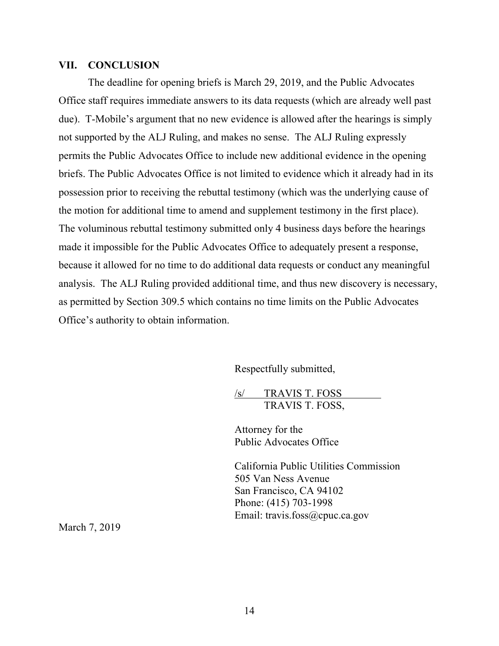#### **VII. CONCLUSION**

The deadline for opening briefs is March 29, 2019, and the Public Advocates Office staff requires immediate answers to its data requests (which are already well past due). T-Mobile's argument that no new evidence is allowed after the hearings is simply not supported by the ALJ Ruling, and makes no sense. The ALJ Ruling expressly permits the Public Advocates Office to include new additional evidence in the opening briefs. The Public Advocates Office is not limited to evidence which it already had in its possession prior to receiving the rebuttal testimony (which was the underlying cause of the motion for additional time to amend and supplement testimony in the first place). The voluminous rebuttal testimony submitted only 4 business days before the hearings made it impossible for the Public Advocates Office to adequately present a response, because it allowed for no time to do additional data requests or conduct any meaningful analysis. The ALJ Ruling provided additional time, and thus new discovery is necessary, as permitted by Section 309.5 which contains no time limits on the Public Advocates Office's authority to obtain information.

Respectfully submitted,

/s/ TRAVIS T. FOSS TRAVIS T. FOSS,

Attorney for the Public Advocates Office

California Public Utilities Commission 505 Van Ness Avenue San Francisco, CA 94102 Phone: (415) 703-1998 Email: travis.foss@cpuc.ca.gov

March 7, 2019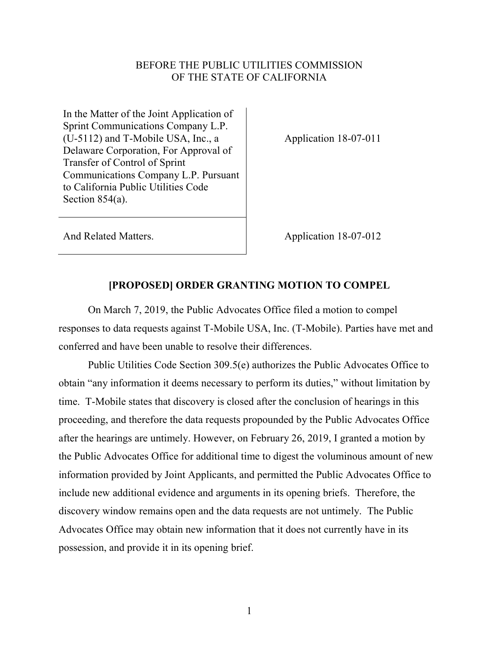### BEFORE THE PUBLIC UTILITIES COMMISSION OF THE STATE OF CALIFORNIA

In the Matter of the Joint Application of Sprint Communications Company L.P. (U-5112) and T-Mobile USA, Inc., a Delaware Corporation, For Approval of Transfer of Control of Sprint Communications Company L.P. Pursuant to California Public Utilities Code Section 854(a).

Application 18-07-011

And Related Matters. Application 18-07-012

#### **[PROPOSED] ORDER GRANTING MOTION TO COMPEL**

On March 7, 2019, the Public Advocates Office filed a motion to compel responses to data requests against T-Mobile USA, Inc. (T-Mobile). Parties have met and conferred and have been unable to resolve their differences.

Public Utilities Code Section 309.5(e) authorizes the Public Advocates Office to obtain "any information it deems necessary to perform its duties," without limitation by time. T-Mobile states that discovery is closed after the conclusion of hearings in this proceeding, and therefore the data requests propounded by the Public Advocates Office after the hearings are untimely. However, on February 26, 2019, I granted a motion by the Public Advocates Office for additional time to digest the voluminous amount of new information provided by Joint Applicants, and permitted the Public Advocates Office to include new additional evidence and arguments in its opening briefs. Therefore, the discovery window remains open and the data requests are not untimely. The Public Advocates Office may obtain new information that it does not currently have in its possession, and provide it in its opening brief.